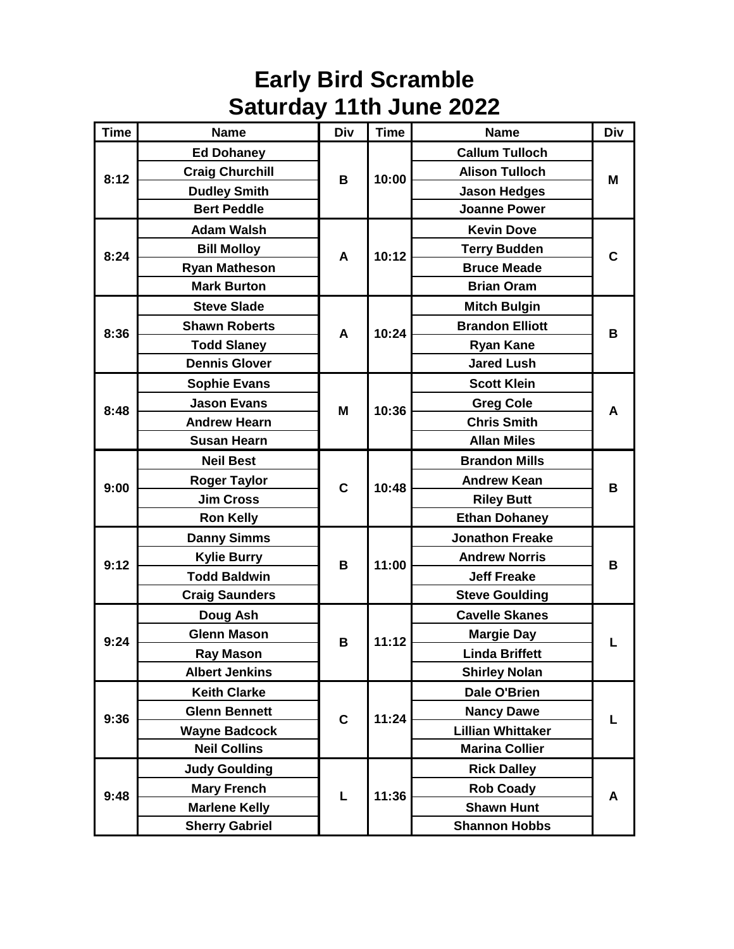## **Early Bird Scramble Saturday 11th June 2022**

| <b>Time</b> | <b>Name</b>            | <b>Div</b>  | <b>Time</b> | <b>Name</b>              | <b>Div</b> |
|-------------|------------------------|-------------|-------------|--------------------------|------------|
|             | <b>Ed Dohaney</b>      | В           | 10:00       | <b>Callum Tulloch</b>    | м          |
| 8:12        | <b>Craig Churchill</b> |             |             | <b>Alison Tulloch</b>    |            |
|             | <b>Dudley Smith</b>    |             |             | <b>Jason Hedges</b>      |            |
|             | <b>Bert Peddle</b>     |             |             | <b>Joanne Power</b>      |            |
| 8:24        | <b>Adam Walsh</b>      | A           | 10:12       | <b>Kevin Dove</b>        | C          |
|             | <b>Bill Molloy</b>     |             |             | <b>Terry Budden</b>      |            |
|             | <b>Ryan Matheson</b>   |             |             | <b>Bruce Meade</b>       |            |
|             | <b>Mark Burton</b>     |             |             | <b>Brian Oram</b>        |            |
| 8:36        | <b>Steve Slade</b>     | A           | 10:24       | <b>Mitch Bulgin</b>      | B          |
|             | <b>Shawn Roberts</b>   |             |             | <b>Brandon Elliott</b>   |            |
|             | <b>Todd Slaney</b>     |             |             | <b>Ryan Kane</b>         |            |
|             | <b>Dennis Glover</b>   |             |             | <b>Jared Lush</b>        |            |
|             | <b>Sophie Evans</b>    |             | 10:36       | <b>Scott Klein</b>       | A          |
| 8:48        | <b>Jason Evans</b>     | M           |             | <b>Greg Cole</b>         |            |
|             | <b>Andrew Hearn</b>    |             |             | <b>Chris Smith</b>       |            |
|             | <b>Susan Hearn</b>     |             |             | <b>Allan Miles</b>       |            |
|             | <b>Neil Best</b>       | C           | 10:48       | <b>Brandon Mills</b>     | B          |
| 9:00        | <b>Roger Taylor</b>    |             |             | <b>Andrew Kean</b>       |            |
|             | <b>Jim Cross</b>       |             |             | <b>Riley Butt</b>        |            |
|             | <b>Ron Kelly</b>       |             |             | <b>Ethan Dohaney</b>     |            |
|             | <b>Danny Simms</b>     | B           | 11:00       | <b>Jonathon Freake</b>   | B          |
| 9:12        | <b>Kylie Burry</b>     |             |             | <b>Andrew Norris</b>     |            |
|             | <b>Todd Baldwin</b>    |             |             | <b>Jeff Freake</b>       |            |
|             | <b>Craig Saunders</b>  |             |             | <b>Steve Goulding</b>    |            |
| 9:24        | Doug Ash               | B           | 11:12       | <b>Cavelle Skanes</b>    |            |
|             | <b>Glenn Mason</b>     |             |             | <b>Margie Day</b>        |            |
|             | <b>Ray Mason</b>       |             |             | <b>Linda Briffett</b>    |            |
|             | <b>Albert Jenkins</b>  |             |             | <b>Shirley Nolan</b>     |            |
| 9:36        | <b>Keith Clarke</b>    | $\mathbf c$ | 11:24       | Dale O'Brien             |            |
|             | <b>Glenn Bennett</b>   |             |             | <b>Nancy Dawe</b>        |            |
|             | <b>Wayne Badcock</b>   |             |             | <b>Lillian Whittaker</b> |            |
|             | <b>Neil Collins</b>    |             |             | <b>Marina Collier</b>    |            |
| 9:48        | <b>Judy Goulding</b>   | L           | 11:36       | <b>Rick Dalley</b>       | A          |
|             | <b>Mary French</b>     |             |             | <b>Rob Coady</b>         |            |
|             | <b>Marlene Kelly</b>   |             |             | <b>Shawn Hunt</b>        |            |
|             | <b>Sherry Gabriel</b>  |             |             | <b>Shannon Hobbs</b>     |            |